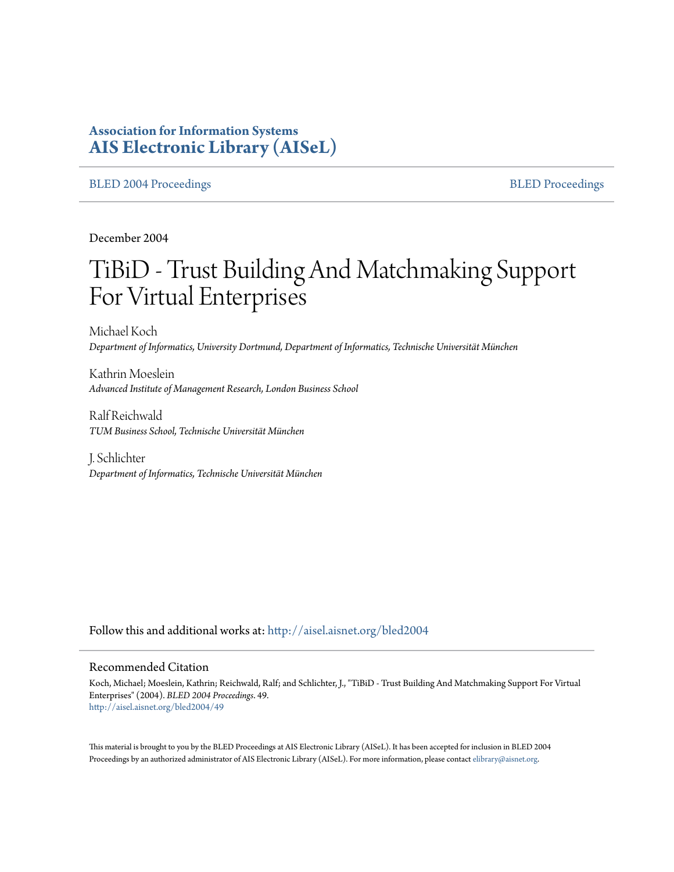# **Association for Information Systems [AIS Electronic Library \(AISeL\)](http://aisel.aisnet.org?utm_source=aisel.aisnet.org%2Fbled2004%2F49&utm_medium=PDF&utm_campaign=PDFCoverPages)**

#### [BLED 2004 Proceedings](http://aisel.aisnet.org/bled2004?utm_source=aisel.aisnet.org%2Fbled2004%2F49&utm_medium=PDF&utm_campaign=PDFCoverPages) and the state of the state of the [BLED Proceedings](http://aisel.aisnet.org/bled?utm_source=aisel.aisnet.org%2Fbled2004%2F49&utm_medium=PDF&utm_campaign=PDFCoverPages) and the BLED Proceedings and the BLED Proceedings and the BLED Proceedings and the BLED Proceedings and the BLED Proceedings and the BLED Proceedings

December 2004

# TiBiD - Trust Building And Matchmaking Support For Virtual Enterprises

Michael Koch *Department of Informatics, University Dortmund, Department of Informatics, Technische Universität München*

Kathrin Moeslein *Advanced Institute of Management Research, London Business School*

Ralf Reichwald *TUM Business School, Technische Universität München*

J. Schlichter *Department of Informatics, Technische Universität München*

Follow this and additional works at: [http://aisel.aisnet.org/bled2004](http://aisel.aisnet.org/bled2004?utm_source=aisel.aisnet.org%2Fbled2004%2F49&utm_medium=PDF&utm_campaign=PDFCoverPages)

#### Recommended Citation

Koch, Michael; Moeslein, Kathrin; Reichwald, Ralf; and Schlichter, J., "TiBiD - Trust Building And Matchmaking Support For Virtual Enterprises" (2004). *BLED 2004 Proceedings*. 49. [http://aisel.aisnet.org/bled2004/49](http://aisel.aisnet.org/bled2004/49?utm_source=aisel.aisnet.org%2Fbled2004%2F49&utm_medium=PDF&utm_campaign=PDFCoverPages)

This material is brought to you by the BLED Proceedings at AIS Electronic Library (AISeL). It has been accepted for inclusion in BLED 2004 Proceedings by an authorized administrator of AIS Electronic Library (AISeL). For more information, please contact [elibrary@aisnet.org](mailto:elibrary@aisnet.org%3E).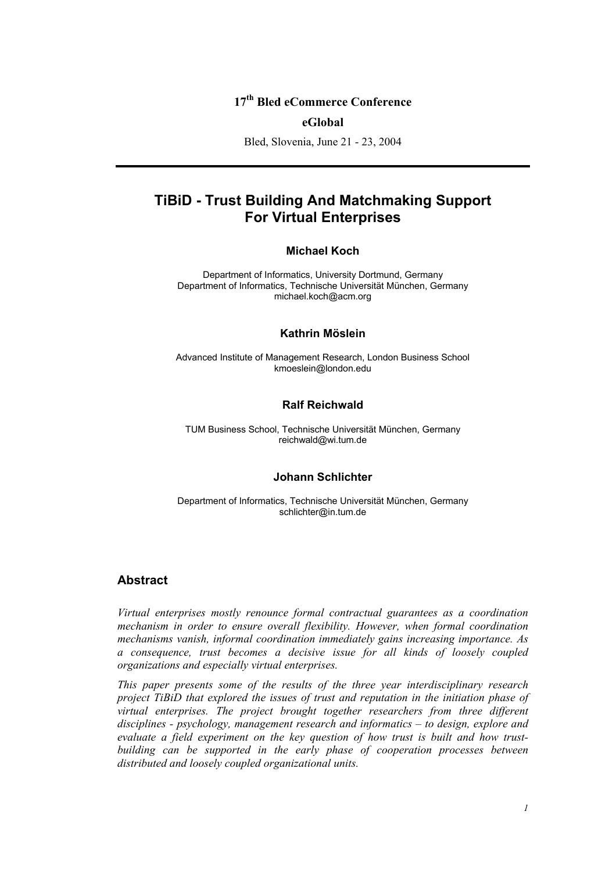## **17th Bled eCommerce Conference**

#### **eGlobal**

Bled, Slovenia, June 21 - 23, 2004

# **TiBiD - Trust Building And Matchmaking Support For Virtual Enterprises**

#### **Michael Koch**

Department of Informatics, University Dortmund, Germany Department of Informatics, Technische Universität München, Germany michael.koch@acm.org

#### **Kathrin Möslein**

Advanced Institute of Management Research, London Business School kmoeslein@london.edu

#### **Ralf Reichwald**

TUM Business School, Technische Universität München, Germany reichwald@wi.tum.de

#### **Johann Schlichter**

Department of Informatics, Technische Universität München, Germany schlichter@in.tum.de

### **Abstract**

*Virtual enterprises mostly renounce formal contractual guarantees as a coordination mechanism in order to ensure overall flexibility. However, when formal coordination mechanisms vanish, informal coordination immediately gains increasing importance. As a consequence, trust becomes a decisive issue for all kinds of loosely coupled organizations and especially virtual enterprises.* 

*This paper presents some of the results of the three year interdisciplinary research project TiBiD that explored the issues of trust and reputation in the initiation phase of virtual enterprises. The project brought together researchers from three different disciplines - psychology, management research and informatics – to design, explore and evaluate a field experiment on the key question of how trust is built and how trustbuilding can be supported in the early phase of cooperation processes between distributed and loosely coupled organizational units.*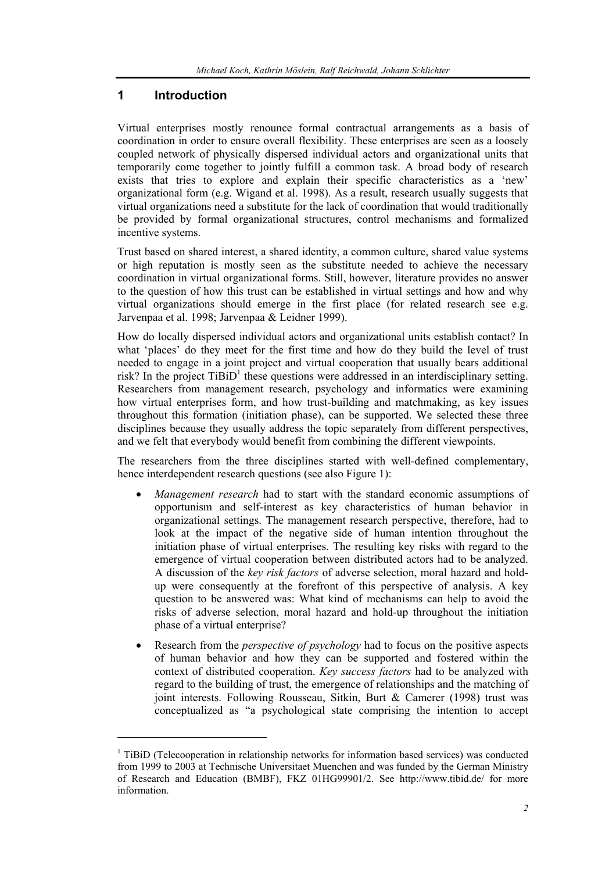## **1 Introduction**

l

Virtual enterprises mostly renounce formal contractual arrangements as a basis of coordination in order to ensure overall flexibility. These enterprises are seen as a loosely coupled network of physically dispersed individual actors and organizational units that temporarily come together to jointly fulfill a common task. A broad body of research exists that tries to explore and explain their specific characteristics as a 'new' organizational form (e.g. Wigand et al. 1998). As a result, research usually suggests that virtual organizations need a substitute for the lack of coordination that would traditionally be provided by formal organizational structures, control mechanisms and formalized incentive systems.

Trust based on shared interest, a shared identity, a common culture, shared value systems or high reputation is mostly seen as the substitute needed to achieve the necessary coordination in virtual organizational forms. Still, however, literature provides no answer to the question of how this trust can be established in virtual settings and how and why virtual organizations should emerge in the first place (for related research see e.g. Jarvenpaa et al. 1998; Jarvenpaa & Leidner 1999).

How do locally dispersed individual actors and organizational units establish contact? In what 'places' do they meet for the first time and how do they build the level of trust needed to engage in a joint project and virtual cooperation that usually bears additional risk? In the project  $TiBiD<sup>1</sup>$  these questions were addressed in an interdisciplinary setting. Researchers from management research, psychology and informatics were examining how virtual enterprises form, and how trust-building and matchmaking, as key issues throughout this formation (initiation phase), can be supported. We selected these three disciplines because they usually address the topic separately from different perspectives, and we felt that everybody would benefit from combining the different viewpoints.

The researchers from the three disciplines started with well-defined complementary, hence interdependent research questions (see also Figure 1):

- *Management research* had to start with the standard economic assumptions of opportunism and self-interest as key characteristics of human behavior in organizational settings. The management research perspective, therefore, had to look at the impact of the negative side of human intention throughout the initiation phase of virtual enterprises. The resulting key risks with regard to the emergence of virtual cooperation between distributed actors had to be analyzed. A discussion of the *key risk factors* of adverse selection, moral hazard and holdup were consequently at the forefront of this perspective of analysis. A key question to be answered was: What kind of mechanisms can help to avoid the risks of adverse selection, moral hazard and hold-up throughout the initiation phase of a virtual enterprise?
- Research from the *perspective of psychology* had to focus on the positive aspects of human behavior and how they can be supported and fostered within the context of distributed cooperation. *Key success factors* had to be analyzed with regard to the building of trust, the emergence of relationships and the matching of joint interests. Following Rousseau, Sitkin, Burt & Camerer (1998) trust was conceptualized as "a psychological state comprising the intention to accept

<sup>&</sup>lt;sup>1</sup> TiBiD (Telecooperation in relationship networks for information based services) was conducted from 1999 to 2003 at Technische Universitaet Muenchen and was funded by the German Ministry of Research and Education (BMBF), FKZ 01HG99901/2. See http://www.tibid.de/ for more information.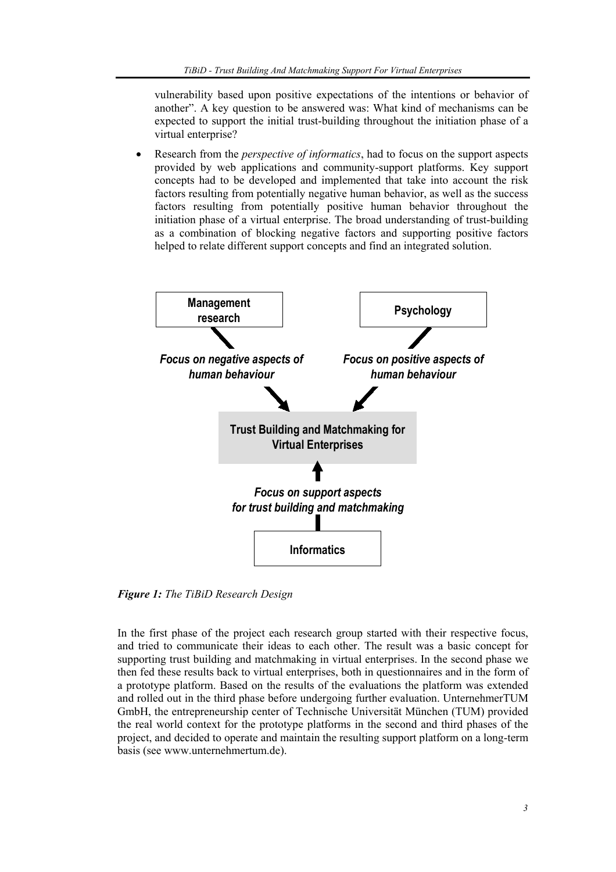vulnerability based upon positive expectations of the intentions or behavior of another". A key question to be answered was: What kind of mechanisms can be expected to support the initial trust-building throughout the initiation phase of a virtual enterprise?

• Research from the *perspective of informatics*, had to focus on the support aspects provided by web applications and community-support platforms. Key support concepts had to be developed and implemented that take into account the risk factors resulting from potentially negative human behavior, as well as the success factors resulting from potentially positive human behavior throughout the initiation phase of a virtual enterprise. The broad understanding of trust-building as a combination of blocking negative factors and supporting positive factors helped to relate different support concepts and find an integrated solution.



*Figure 1: The TiBiD Research Design* 

In the first phase of the project each research group started with their respective focus, and tried to communicate their ideas to each other. The result was a basic concept for supporting trust building and matchmaking in virtual enterprises. In the second phase we then fed these results back to virtual enterprises, both in questionnaires and in the form of a prototype platform. Based on the results of the evaluations the platform was extended and rolled out in the third phase before undergoing further evaluation. UnternehmerTUM GmbH, the entrepreneurship center of Technische Universität München (TUM) provided the real world context for the prototype platforms in the second and third phases of the project, and decided to operate and maintain the resulting support platform on a long-term basis (see www.unternehmertum.de).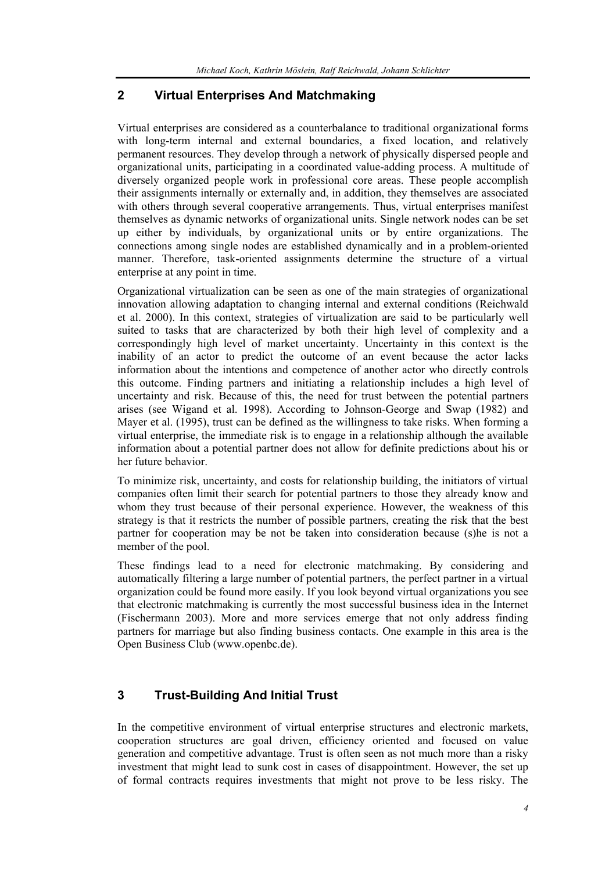## **2 Virtual Enterprises And Matchmaking**

Virtual enterprises are considered as a counterbalance to traditional organizational forms with long-term internal and external boundaries, a fixed location, and relatively permanent resources. They develop through a network of physically dispersed people and organizational units, participating in a coordinated value-adding process. A multitude of diversely organized people work in professional core areas. These people accomplish their assignments internally or externally and, in addition, they themselves are associated with others through several cooperative arrangements. Thus, virtual enterprises manifest themselves as dynamic networks of organizational units. Single network nodes can be set up either by individuals, by organizational units or by entire organizations. The connections among single nodes are established dynamically and in a problem-oriented manner. Therefore, task-oriented assignments determine the structure of a virtual enterprise at any point in time.

Organizational virtualization can be seen as one of the main strategies of organizational innovation allowing adaptation to changing internal and external conditions (Reichwald et al. 2000). In this context, strategies of virtualization are said to be particularly well suited to tasks that are characterized by both their high level of complexity and a correspondingly high level of market uncertainty. Uncertainty in this context is the inability of an actor to predict the outcome of an event because the actor lacks information about the intentions and competence of another actor who directly controls this outcome. Finding partners and initiating a relationship includes a high level of uncertainty and risk. Because of this, the need for trust between the potential partners arises (see Wigand et al. 1998). According to Johnson-George and Swap (1982) and Mayer et al. (1995), trust can be defined as the willingness to take risks. When forming a virtual enterprise, the immediate risk is to engage in a relationship although the available information about a potential partner does not allow for definite predictions about his or her future behavior.

To minimize risk, uncertainty, and costs for relationship building, the initiators of virtual companies often limit their search for potential partners to those they already know and whom they trust because of their personal experience. However, the weakness of this strategy is that it restricts the number of possible partners, creating the risk that the best partner for cooperation may be not be taken into consideration because (s)he is not a member of the pool.

These findings lead to a need for electronic matchmaking. By considering and automatically filtering a large number of potential partners, the perfect partner in a virtual organization could be found more easily. If you look beyond virtual organizations you see that electronic matchmaking is currently the most successful business idea in the Internet (Fischermann 2003). More and more services emerge that not only address finding partners for marriage but also finding business contacts. One example in this area is the Open Business Club (www.openbc.de).

## **3 Trust-Building And Initial Trust**

In the competitive environment of virtual enterprise structures and electronic markets, cooperation structures are goal driven, efficiency oriented and focused on value generation and competitive advantage. Trust is often seen as not much more than a risky investment that might lead to sunk cost in cases of disappointment. However, the set up of formal contracts requires investments that might not prove to be less risky. The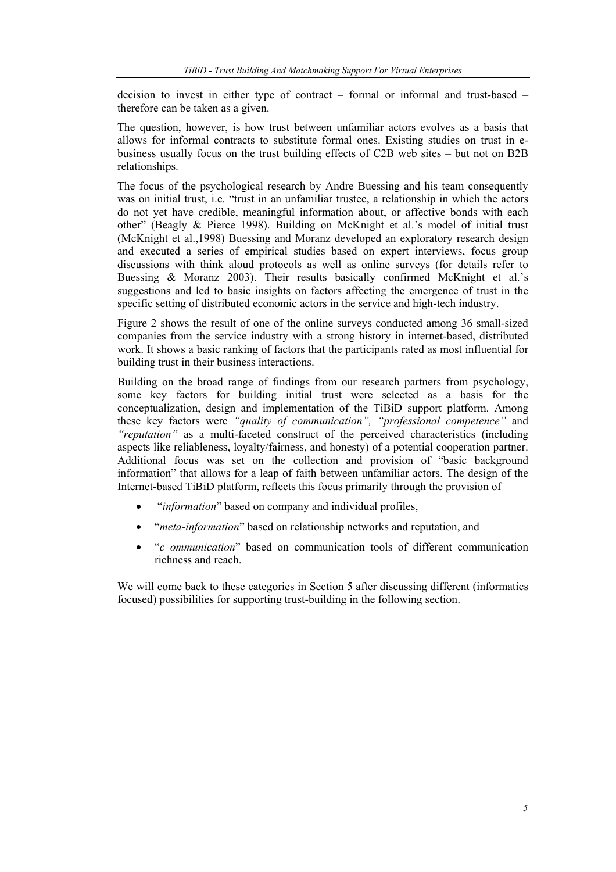decision to invest in either type of contract – formal or informal and trust-based – therefore can be taken as a given.

The question, however, is how trust between unfamiliar actors evolves as a basis that allows for informal contracts to substitute formal ones. Existing studies on trust in ebusiness usually focus on the trust building effects of C2B web sites – but not on B2B relationships.

The focus of the psychological research by Andre Buessing and his team consequently was on initial trust, i.e. "trust in an unfamiliar trustee, a relationship in which the actors do not yet have credible, meaningful information about, or affective bonds with each other" (Beagly & Pierce 1998). Building on McKnight et al.'s model of initial trust (McKnight et al.,1998) Buessing and Moranz developed an exploratory research design and executed a series of empirical studies based on expert interviews, focus group discussions with think aloud protocols as well as online surveys (for details refer to Buessing & Moranz 2003). Their results basically confirmed McKnight et al.'s suggestions and led to basic insights on factors affecting the emergence of trust in the specific setting of distributed economic actors in the service and high-tech industry.

Figure 2 shows the result of one of the online surveys conducted among 36 small-sized companies from the service industry with a strong history in internet-based, distributed work. It shows a basic ranking of factors that the participants rated as most influential for building trust in their business interactions.

Building on the broad range of findings from our research partners from psychology, some key factors for building initial trust were selected as a basis for the conceptualization, design and implementation of the TiBiD support platform. Among these key factors were *"quality of communication", "professional competence"* and *"reputation"* as a multi-faceted construct of the perceived characteristics (including aspects like reliableness, loyalty/fairness, and honesty) of a potential cooperation partner. Additional focus was set on the collection and provision of "basic background information" that allows for a leap of faith between unfamiliar actors. The design of the Internet-based TiBiD platform, reflects this focus primarily through the provision of

- "*information*" based on company and individual profiles,
- "*meta-information*" based on relationship networks and reputation, and
- "*c ommunication*" based on communication tools of different communication richness and reach.

We will come back to these categories in Section 5 after discussing different (informatics focused) possibilities for supporting trust-building in the following section.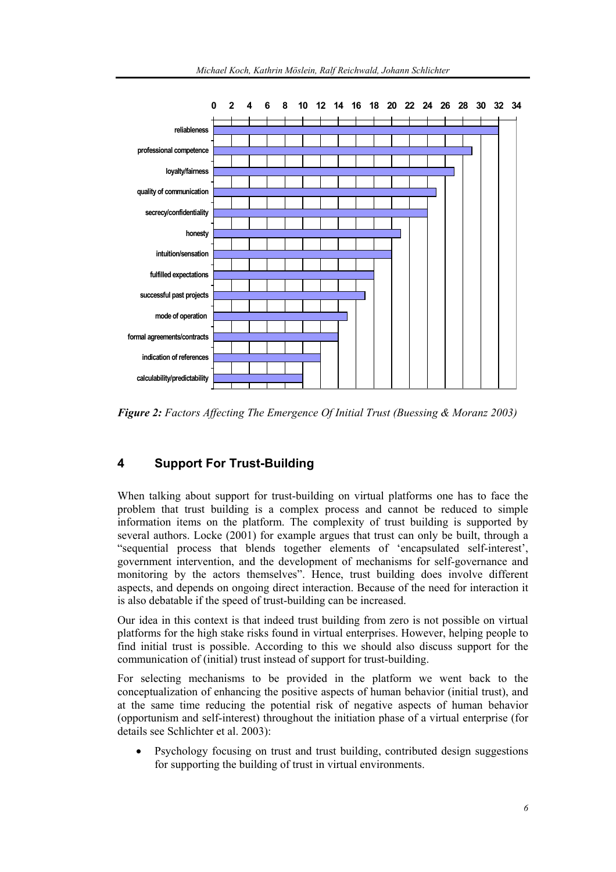

*Figure 2: Factors Affecting The Emergence Of Initial Trust (Buessing & Moranz 2003)* 

## **4 Support For Trust-Building**

When talking about support for trust-building on virtual platforms one has to face the problem that trust building is a complex process and cannot be reduced to simple information items on the platform. The complexity of trust building is supported by several authors. Locke (2001) for example argues that trust can only be built, through a "sequential process that blends together elements of 'encapsulated self-interest', government intervention, and the development of mechanisms for self-governance and monitoring by the actors themselves". Hence, trust building does involve different aspects, and depends on ongoing direct interaction. Because of the need for interaction it is also debatable if the speed of trust-building can be increased.

Our idea in this context is that indeed trust building from zero is not possible on virtual platforms for the high stake risks found in virtual enterprises. However, helping people to find initial trust is possible. According to this we should also discuss support for the communication of (initial) trust instead of support for trust-building.

For selecting mechanisms to be provided in the platform we went back to the conceptualization of enhancing the positive aspects of human behavior (initial trust), and at the same time reducing the potential risk of negative aspects of human behavior (opportunism and self-interest) throughout the initiation phase of a virtual enterprise (for details see Schlichter et al. 2003):

• Psychology focusing on trust and trust building, contributed design suggestions for supporting the building of trust in virtual environments.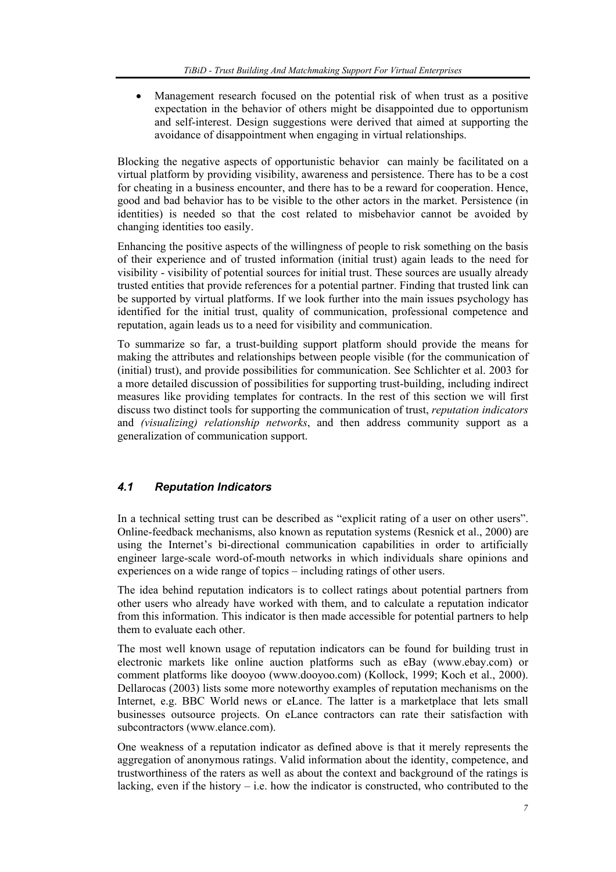Management research focused on the potential risk of when trust as a positive expectation in the behavior of others might be disappointed due to opportunism and self-interest. Design suggestions were derived that aimed at supporting the avoidance of disappointment when engaging in virtual relationships.

Blocking the negative aspects of opportunistic behavior can mainly be facilitated on a virtual platform by providing visibility, awareness and persistence. There has to be a cost for cheating in a business encounter, and there has to be a reward for cooperation. Hence, good and bad behavior has to be visible to the other actors in the market. Persistence (in identities) is needed so that the cost related to misbehavior cannot be avoided by changing identities too easily.

Enhancing the positive aspects of the willingness of people to risk something on the basis of their experience and of trusted information (initial trust) again leads to the need for visibility - visibility of potential sources for initial trust. These sources are usually already trusted entities that provide references for a potential partner. Finding that trusted link can be supported by virtual platforms. If we look further into the main issues psychology has identified for the initial trust, quality of communication, professional competence and reputation, again leads us to a need for visibility and communication.

To summarize so far, a trust-building support platform should provide the means for making the attributes and relationships between people visible (for the communication of (initial) trust), and provide possibilities for communication. See Schlichter et al. 2003 for a more detailed discussion of possibilities for supporting trust-building, including indirect measures like providing templates for contracts. In the rest of this section we will first discuss two distinct tools for supporting the communication of trust, *reputation indicators* and *(visualizing) relationship networks*, and then address community support as a generalization of communication support.

## *4.1 Reputation Indicators*

In a technical setting trust can be described as "explicit rating of a user on other users". Online-feedback mechanisms, also known as reputation systems (Resnick et al., 2000) are using the Internet's bi-directional communication capabilities in order to artificially engineer large-scale word-of-mouth networks in which individuals share opinions and experiences on a wide range of topics – including ratings of other users.

The idea behind reputation indicators is to collect ratings about potential partners from other users who already have worked with them, and to calculate a reputation indicator from this information. This indicator is then made accessible for potential partners to help them to evaluate each other.

The most well known usage of reputation indicators can be found for building trust in electronic markets like online auction platforms such as eBay (www.ebay.com) or comment platforms like dooyoo (www.dooyoo.com) (Kollock, 1999; Koch et al., 2000). Dellarocas (2003) lists some more noteworthy examples of reputation mechanisms on the Internet, e.g. BBC World news or eLance. The latter is a marketplace that lets small businesses outsource projects. On eLance contractors can rate their satisfaction with subcontractors (www.elance.com).

One weakness of a reputation indicator as defined above is that it merely represents the aggregation of anonymous ratings. Valid information about the identity, competence, and trustworthiness of the raters as well as about the context and background of the ratings is lacking, even if the history  $-$  i.e. how the indicator is constructed, who contributed to the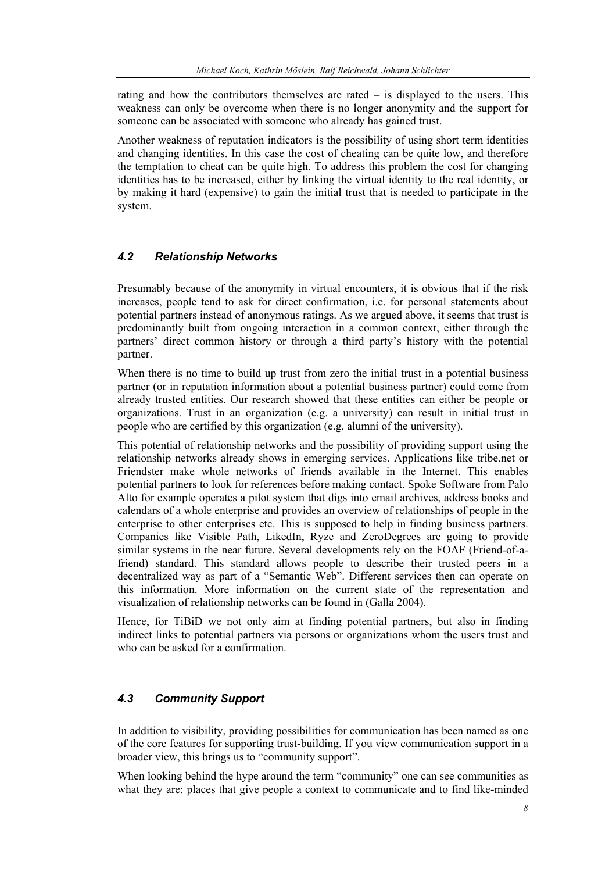rating and how the contributors themselves are rated – is displayed to the users. This weakness can only be overcome when there is no longer anonymity and the support for someone can be associated with someone who already has gained trust.

Another weakness of reputation indicators is the possibility of using short term identities and changing identities. In this case the cost of cheating can be quite low, and therefore the temptation to cheat can be quite high. To address this problem the cost for changing identities has to be increased, either by linking the virtual identity to the real identity, or by making it hard (expensive) to gain the initial trust that is needed to participate in the system.

## *4.2 Relationship Networks*

Presumably because of the anonymity in virtual encounters, it is obvious that if the risk increases, people tend to ask for direct confirmation, i.e. for personal statements about potential partners instead of anonymous ratings. As we argued above, it seems that trust is predominantly built from ongoing interaction in a common context, either through the partners' direct common history or through a third party's history with the potential partner.

When there is no time to build up trust from zero the initial trust in a potential business partner (or in reputation information about a potential business partner) could come from already trusted entities. Our research showed that these entities can either be people or organizations. Trust in an organization (e.g. a university) can result in initial trust in people who are certified by this organization (e.g. alumni of the university).

This potential of relationship networks and the possibility of providing support using the relationship networks already shows in emerging services. Applications like tribe.net or Friendster make whole networks of friends available in the Internet. This enables potential partners to look for references before making contact. Spoke Software from Palo Alto for example operates a pilot system that digs into email archives, address books and calendars of a whole enterprise and provides an overview of relationships of people in the enterprise to other enterprises etc. This is supposed to help in finding business partners. Companies like Visible Path, LikedIn, Ryze and ZeroDegrees are going to provide similar systems in the near future. Several developments rely on the FOAF (Friend-of-afriend) standard. This standard allows people to describe their trusted peers in a decentralized way as part of a "Semantic Web". Different services then can operate on this information. More information on the current state of the representation and visualization of relationship networks can be found in (Galla 2004).

Hence, for TiBiD we not only aim at finding potential partners, but also in finding indirect links to potential partners via persons or organizations whom the users trust and who can be asked for a confirmation.

## *4.3 Community Support*

In addition to visibility, providing possibilities for communication has been named as one of the core features for supporting trust-building. If you view communication support in a broader view, this brings us to "community support".

When looking behind the hype around the term "community" one can see communities as what they are: places that give people a context to communicate and to find like-minded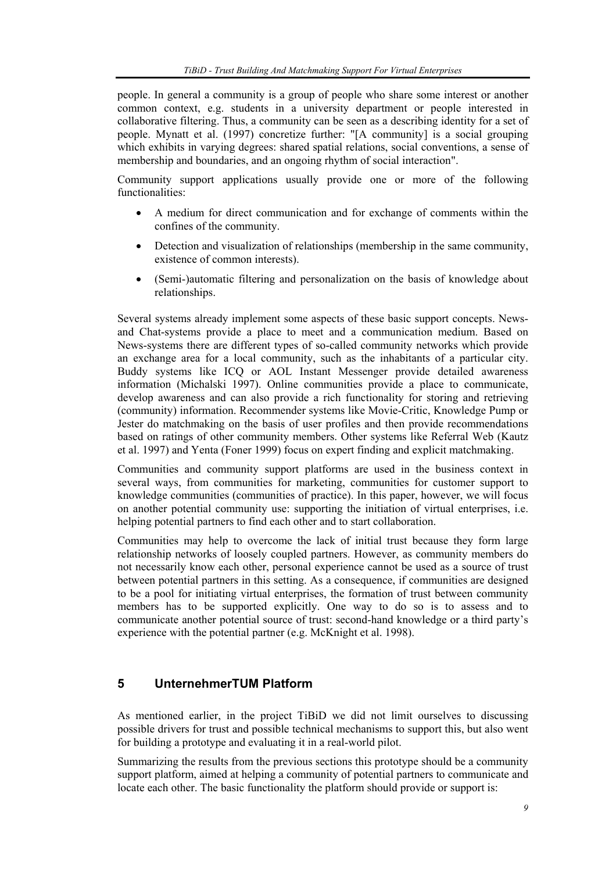people. In general a community is a group of people who share some interest or another common context, e.g. students in a university department or people interested in collaborative filtering. Thus, a community can be seen as a describing identity for a set of people. Mynatt et al. (1997) concretize further: "[A community] is a social grouping which exhibits in varying degrees: shared spatial relations, social conventions, a sense of membership and boundaries, and an ongoing rhythm of social interaction".

Community support applications usually provide one or more of the following functionalities:

- A medium for direct communication and for exchange of comments within the confines of the community.
- Detection and visualization of relationships (membership in the same community, existence of common interests).
- (Semi-)automatic filtering and personalization on the basis of knowledge about relationships.

Several systems already implement some aspects of these basic support concepts. Newsand Chat-systems provide a place to meet and a communication medium. Based on News-systems there are different types of so-called community networks which provide an exchange area for a local community, such as the inhabitants of a particular city. Buddy systems like ICQ or AOL Instant Messenger provide detailed awareness information (Michalski 1997). Online communities provide a place to communicate, develop awareness and can also provide a rich functionality for storing and retrieving (community) information. Recommender systems like Movie-Critic, Knowledge Pump or Jester do matchmaking on the basis of user profiles and then provide recommendations based on ratings of other community members. Other systems like Referral Web (Kautz et al. 1997) and Yenta (Foner 1999) focus on expert finding and explicit matchmaking.

Communities and community support platforms are used in the business context in several ways, from communities for marketing, communities for customer support to knowledge communities (communities of practice). In this paper, however, we will focus on another potential community use: supporting the initiation of virtual enterprises, i.e. helping potential partners to find each other and to start collaboration.

Communities may help to overcome the lack of initial trust because they form large relationship networks of loosely coupled partners. However, as community members do not necessarily know each other, personal experience cannot be used as a source of trust between potential partners in this setting. As a consequence, if communities are designed to be a pool for initiating virtual enterprises, the formation of trust between community members has to be supported explicitly. One way to do so is to assess and to communicate another potential source of trust: second-hand knowledge or a third party's experience with the potential partner (e.g. McKnight et al. 1998).

## **5 UnternehmerTUM Platform**

As mentioned earlier, in the project TiBiD we did not limit ourselves to discussing possible drivers for trust and possible technical mechanisms to support this, but also went for building a prototype and evaluating it in a real-world pilot.

Summarizing the results from the previous sections this prototype should be a community support platform, aimed at helping a community of potential partners to communicate and locate each other. The basic functionality the platform should provide or support is: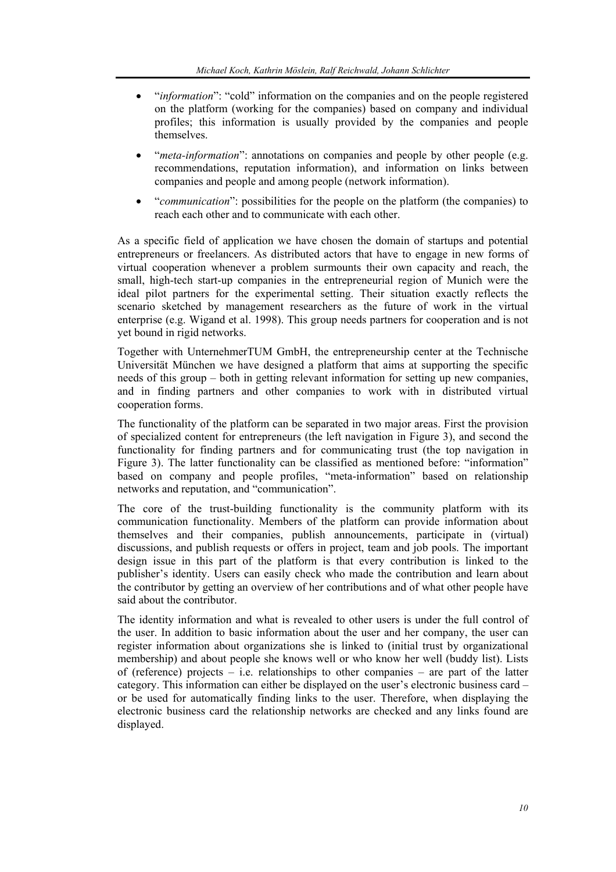- "*information*": "cold" information on the companies and on the people registered on the platform (working for the companies) based on company and individual profiles; this information is usually provided by the companies and people themselves.
- "*meta-information*": annotations on companies and people by other people (e.g. recommendations, reputation information), and information on links between companies and people and among people (network information).
- "*communication*": possibilities for the people on the platform (the companies) to reach each other and to communicate with each other.

As a specific field of application we have chosen the domain of startups and potential entrepreneurs or freelancers. As distributed actors that have to engage in new forms of virtual cooperation whenever a problem surmounts their own capacity and reach, the small, high-tech start-up companies in the entrepreneurial region of Munich were the ideal pilot partners for the experimental setting. Their situation exactly reflects the scenario sketched by management researchers as the future of work in the virtual enterprise (e.g. Wigand et al. 1998). This group needs partners for cooperation and is not yet bound in rigid networks.

Together with UnternehmerTUM GmbH, the entrepreneurship center at the Technische Universität München we have designed a platform that aims at supporting the specific needs of this group – both in getting relevant information for setting up new companies, and in finding partners and other companies to work with in distributed virtual cooperation forms.

The functionality of the platform can be separated in two major areas. First the provision of specialized content for entrepreneurs (the left navigation in Figure 3), and second the functionality for finding partners and for communicating trust (the top navigation in Figure 3). The latter functionality can be classified as mentioned before: "information" based on company and people profiles, "meta-information" based on relationship networks and reputation, and "communication".

The core of the trust-building functionality is the community platform with its communication functionality. Members of the platform can provide information about themselves and their companies, publish announcements, participate in (virtual) discussions, and publish requests or offers in project, team and job pools. The important design issue in this part of the platform is that every contribution is linked to the publisher's identity. Users can easily check who made the contribution and learn about the contributor by getting an overview of her contributions and of what other people have said about the contributor.

The identity information and what is revealed to other users is under the full control of the user. In addition to basic information about the user and her company, the user can register information about organizations she is linked to (initial trust by organizational membership) and about people she knows well or who know her well (buddy list). Lists of (reference) projects – i.e. relationships to other companies – are part of the latter category. This information can either be displayed on the user's electronic business card – or be used for automatically finding links to the user. Therefore, when displaying the electronic business card the relationship networks are checked and any links found are displayed.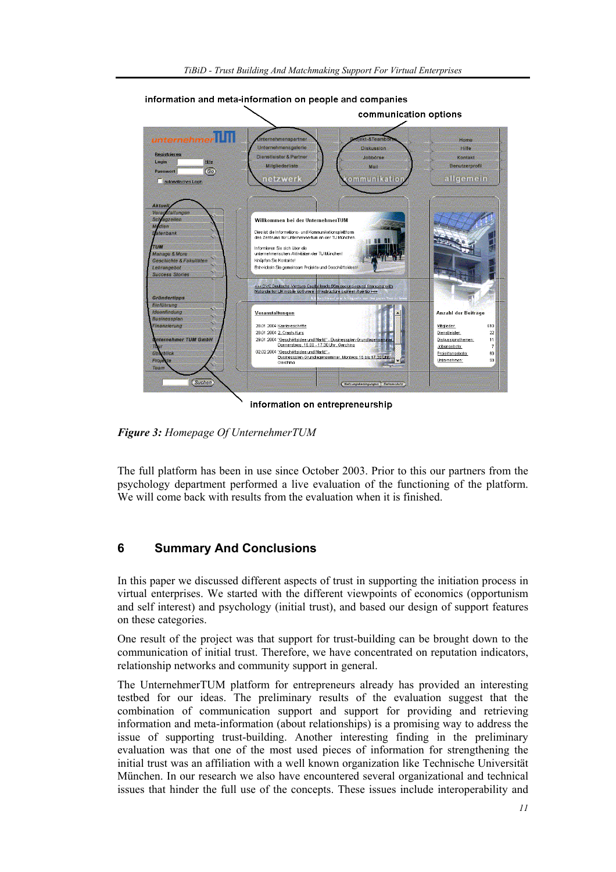

information and meta-information on people and companies

information on entrepreneurship

*Figure 3: Homepage Of UnternehmerTUM* 

The full platform has been in use since October 2003. Prior to this our partners from the psychology department performed a live evaluation of the functioning of the platform. We will come back with results from the evaluation when it is finished.

## **6 Summary And Conclusions**

In this paper we discussed different aspects of trust in supporting the initiation process in virtual enterprises. We started with the different viewpoints of economics (opportunism and self interest) and psychology (initial trust), and based our design of support features on these categories.

One result of the project was that support for trust-building can be brought down to the communication of initial trust. Therefore, we have concentrated on reputation indicators, relationship networks and community support in general.

The UnternehmerTUM platform for entrepreneurs already has provided an interesting testbed for our ideas. The preliminary results of the evaluation suggest that the combination of communication support and support for providing and retrieving information and meta-information (about relationships) is a promising way to address the issue of supporting trust-building. Another interesting finding in the preliminary evaluation was that one of the most used pieces of information for strengthening the initial trust was an affiliation with a well known organization like Technische Universität München. In our research we also have encountered several organizational and technical issues that hinder the full use of the concepts. These issues include interoperability and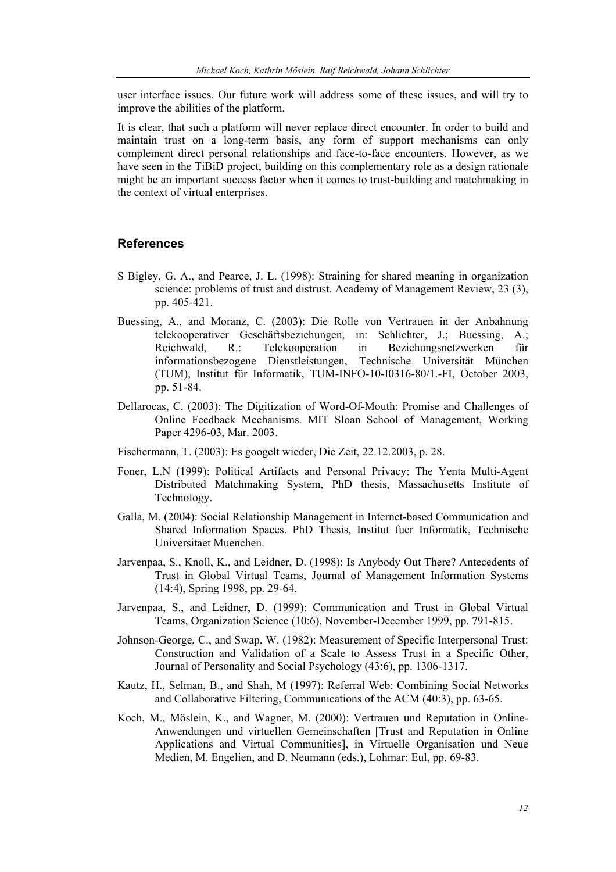user interface issues. Our future work will address some of these issues, and will try to improve the abilities of the platform.

It is clear, that such a platform will never replace direct encounter. In order to build and maintain trust on a long-term basis, any form of support mechanisms can only complement direct personal relationships and face-to-face encounters. However, as we have seen in the TiBiD project, building on this complementary role as a design rationale might be an important success factor when it comes to trust-building and matchmaking in the context of virtual enterprises.

#### **References**

- S Bigley, G. A., and Pearce, J. L. (1998): Straining for shared meaning in organization science: problems of trust and distrust. Academy of Management Review, 23 (3), pp. 405-421.
- Buessing, A., and Moranz, C. (2003): Die Rolle von Vertrauen in der Anbahnung telekooperativer Geschäftsbeziehungen, in: Schlichter, J.; Buessing, A.; Reichwald, R.: Telekooperation in Beziehungsnetzwerken für informationsbezogene Dienstleistungen, Technische Universität München (TUM), Institut für Informatik, TUM-INFO-10-I0316-80/1.-FI, October 2003, pp. 51-84.
- Dellarocas, C. (2003): The Digitization of Word-Of-Mouth: Promise and Challenges of Online Feedback Mechanisms. MIT Sloan School of Management, Working Paper 4296-03, Mar. 2003.
- Fischermann, T. (2003): Es googelt wieder, Die Zeit, 22.12.2003, p. 28.
- Foner, L.N (1999): Political Artifacts and Personal Privacy: The Yenta Multi-Agent Distributed Matchmaking System, PhD thesis, Massachusetts Institute of Technology.
- Galla, M. (2004): Social Relationship Management in Internet-based Communication and Shared Information Spaces. PhD Thesis, Institut fuer Informatik, Technische Universitaet Muenchen.
- Jarvenpaa, S., Knoll, K., and Leidner, D. (1998): Is Anybody Out There? Antecedents of Trust in Global Virtual Teams, Journal of Management Information Systems (14:4), Spring 1998, pp. 29-64.
- Jarvenpaa, S., and Leidner, D. (1999): Communication and Trust in Global Virtual Teams, Organization Science (10:6), November-December 1999, pp. 791-815.
- Johnson-George, C., and Swap, W. (1982): Measurement of Specific Interpersonal Trust: Construction and Validation of a Scale to Assess Trust in a Specific Other, Journal of Personality and Social Psychology (43:6), pp. 1306-1317.
- Kautz, H., Selman, B., and Shah, M (1997): Referral Web: Combining Social Networks and Collaborative Filtering, Communications of the ACM (40:3), pp. 63-65.
- Koch, M., Möslein, K., and Wagner, M. (2000): Vertrauen und Reputation in Online-Anwendungen und virtuellen Gemeinschaften [Trust and Reputation in Online Applications and Virtual Communities], in Virtuelle Organisation und Neue Medien, M. Engelien, and D. Neumann (eds.), Lohmar: Eul, pp. 69-83.